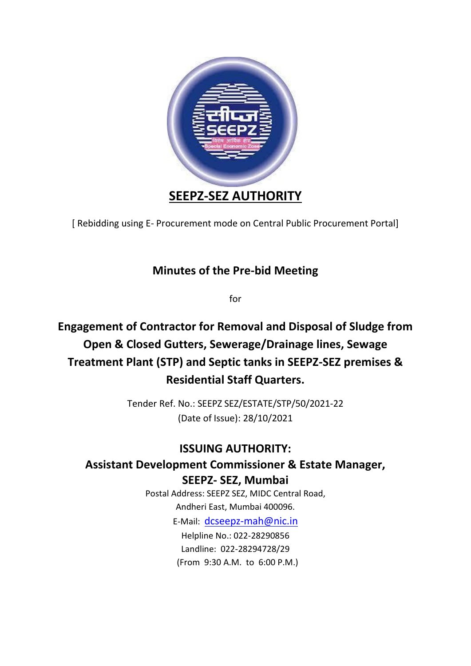

[ Rebidding using E- Procurement mode on Central Public Procurement Portal]

## **Minutes of the Pre-bid Meeting**

for

## **Engagement of Contractor for Removal and Disposal of Sludge from Open & Closed Gutters, Sewerage/Drainage lines, Sewage Treatment Plant (STP) and Septic tanks in SEEPZ-SEZ premises & Residential Staff Quarters.**

Tender Ref. No.: SEEPZ SEZ/ESTATE/STP/50/2021-22 (Date of Issue): 28/10/2021

## **ISSUING AUTHORITY:**

## **Assistant Development Commissioner & Estate Manager, SEEPZ- SEZ, Mumbai**

Postal Address: SEEPZ SEZ, MIDC Central Road, Andheri East, Mumbai 400096.

E-Mail: [dcseepz-mah@nic.in](mailto:dcseepz-mah@nic.in)

Helpline No.: 022-28290856 Landline: 022-28294728/29 (From 9:30 A.M. to 6:00 P.M.)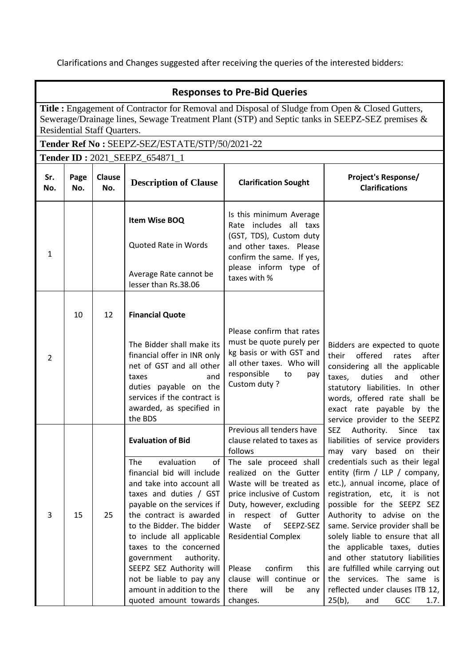Clarifications and Changes suggested after receiving the queries of the interested bidders:

|              | <b>Responses to Pre-Bid Queries</b>                                                                                                                                                                                                            |               |                                                                                                                                                                                                                                                                                                                                                                                                                                        |                                                                                                                                                                                                                                                                                                                                                                                                 |                                                                                                                                                                                                                                                                                                                                                                                                                                                                                                                                                                                     |  |  |
|--------------|------------------------------------------------------------------------------------------------------------------------------------------------------------------------------------------------------------------------------------------------|---------------|----------------------------------------------------------------------------------------------------------------------------------------------------------------------------------------------------------------------------------------------------------------------------------------------------------------------------------------------------------------------------------------------------------------------------------------|-------------------------------------------------------------------------------------------------------------------------------------------------------------------------------------------------------------------------------------------------------------------------------------------------------------------------------------------------------------------------------------------------|-------------------------------------------------------------------------------------------------------------------------------------------------------------------------------------------------------------------------------------------------------------------------------------------------------------------------------------------------------------------------------------------------------------------------------------------------------------------------------------------------------------------------------------------------------------------------------------|--|--|
|              | <b>Title :</b> Engagement of Contractor for Removal and Disposal of Sludge from Open & Closed Gutters,<br>Sewerage/Drainage lines, Sewage Treatment Plant (STP) and Septic tanks in SEEPZ-SEZ premises &<br><b>Residential Staff Quarters.</b> |               |                                                                                                                                                                                                                                                                                                                                                                                                                                        |                                                                                                                                                                                                                                                                                                                                                                                                 |                                                                                                                                                                                                                                                                                                                                                                                                                                                                                                                                                                                     |  |  |
|              |                                                                                                                                                                                                                                                |               | Tender Ref No: SEEPZ-SEZ/ESTATE/STP/50/2021-22                                                                                                                                                                                                                                                                                                                                                                                         |                                                                                                                                                                                                                                                                                                                                                                                                 |                                                                                                                                                                                                                                                                                                                                                                                                                                                                                                                                                                                     |  |  |
|              |                                                                                                                                                                                                                                                |               | Tender ID: 2021_SEEPZ_654871_1                                                                                                                                                                                                                                                                                                                                                                                                         |                                                                                                                                                                                                                                                                                                                                                                                                 |                                                                                                                                                                                                                                                                                                                                                                                                                                                                                                                                                                                     |  |  |
| Sr.<br>No.   | Page<br>No.                                                                                                                                                                                                                                    | Clause<br>No. | <b>Description of Clause</b>                                                                                                                                                                                                                                                                                                                                                                                                           | <b>Clarification Sought</b>                                                                                                                                                                                                                                                                                                                                                                     | <b>Project's Response/</b><br><b>Clarifications</b>                                                                                                                                                                                                                                                                                                                                                                                                                                                                                                                                 |  |  |
| $\mathbf{1}$ |                                                                                                                                                                                                                                                |               | Item Wise BOQ<br>Quoted Rate in Words<br>Average Rate cannot be                                                                                                                                                                                                                                                                                                                                                                        | Is this minimum Average<br>Rate includes all taxs<br>(GST, TDS), Custom duty<br>and other taxes. Please<br>confirm the same. If yes,<br>please inform type of<br>taxes with %                                                                                                                                                                                                                   |                                                                                                                                                                                                                                                                                                                                                                                                                                                                                                                                                                                     |  |  |
| 2            | 10                                                                                                                                                                                                                                             | 12            | lesser than Rs.38.06<br><b>Financial Quote</b><br>The Bidder shall make its<br>financial offer in INR only<br>net of GST and all other<br>and<br>taxes<br>duties payable on the<br>services if the contract is<br>awarded, as specified in<br>the BDS                                                                                                                                                                                  | Please confirm that rates<br>must be quote purely per<br>kg basis or with GST and<br>all other taxes. Who will<br>responsible<br>to<br>pay<br>Custom duty ?                                                                                                                                                                                                                                     | Bidders are expected to quote<br>offered<br>rates<br>after<br>their<br>considering all the applicable<br>duties<br>other<br>taxes,<br>and<br>statutory liabilities. In other<br>words, offered rate shall be<br>exact rate payable by the<br>service provider to the SEEPZ                                                                                                                                                                                                                                                                                                          |  |  |
| 3            | 15                                                                                                                                                                                                                                             | 25            | <b>Evaluation of Bid</b><br>evaluation<br>of<br><b>The</b><br>financial bid will include<br>and take into account all<br>taxes and duties / GST<br>payable on the services if<br>the contract is awarded<br>to the Bidder. The bidder<br>to include all applicable<br>taxes to the concerned<br>government<br>authority.<br>SEEPZ SEZ Authority will<br>not be liable to pay any<br>amount in addition to the<br>quoted amount towards | Previous all tenders have<br>clause related to taxes as<br>follows<br>The sale proceed shall<br>realized on the Gutter<br>Waste will be treated as<br>price inclusive of Custom<br>Duty, however, excluding<br>in respect of Gutter<br>Waste<br>SEEPZ-SEZ<br>of<br><b>Residential Complex</b><br>confirm<br>Please<br>this<br>clause will continue or<br>there<br>will<br>be<br>any<br>changes. | SEZ<br>Authority.<br>Since<br>tax<br>liabilities of service providers<br>may vary based on their<br>credentials such as their legal<br>entity (firm / LLP / company,<br>etc.), annual income, place of<br>registration, etc, it is not<br>possible for the SEEPZ SEZ<br>Authority to advise on the<br>same. Service provider shall be<br>solely liable to ensure that all<br>the applicable taxes, duties<br>and other statutory liabilities<br>are fulfilled while carrying out<br>the services. The same is<br>reflected under clauses ITB 12,<br>$25(b)$ ,<br>GCC<br>1.7.<br>and |  |  |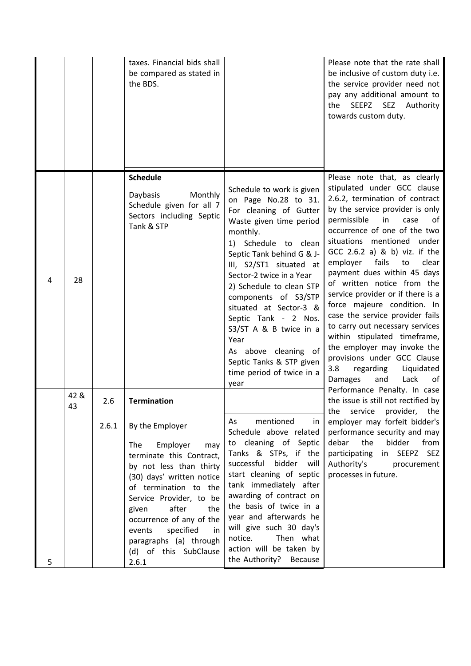|   |            |       | taxes. Financial bids shall<br>be compared as stated in<br>the BDS.                                                                                                                                                                                                                                                             |                                                                                                                                                                                                                                                                                                                                                                                                                                                                 | Please note that the rate shall<br>be inclusive of custom duty i.e.<br>the service provider need not<br>pay any additional amount to<br><b>SEZ</b><br>the<br>SEEPZ<br>Authority<br>towards custom duty.                                                                                                                                                                                                                                                                                                                                                                                                                                                                              |
|---|------------|-------|---------------------------------------------------------------------------------------------------------------------------------------------------------------------------------------------------------------------------------------------------------------------------------------------------------------------------------|-----------------------------------------------------------------------------------------------------------------------------------------------------------------------------------------------------------------------------------------------------------------------------------------------------------------------------------------------------------------------------------------------------------------------------------------------------------------|--------------------------------------------------------------------------------------------------------------------------------------------------------------------------------------------------------------------------------------------------------------------------------------------------------------------------------------------------------------------------------------------------------------------------------------------------------------------------------------------------------------------------------------------------------------------------------------------------------------------------------------------------------------------------------------|
| 4 | 28         |       | <b>Schedule</b><br>Monthly<br>Daybasis<br>Schedule given for all 7<br>Sectors including Septic<br>Tank & STP                                                                                                                                                                                                                    | Schedule to work is given<br>on Page No.28 to 31.<br>For cleaning of Gutter<br>Waste given time period<br>monthly.<br>1) Schedule to clean<br>Septic Tank behind G & J-<br>III, S2/ST1 situated at<br>Sector-2 twice in a Year<br>2) Schedule to clean STP<br>components of S3/STP<br>situated at Sector-3 &<br>Septic Tank - 2 Nos.<br>S3/ST A & B twice in a<br>Year<br>As above cleaning of<br>Septic Tanks & STP given<br>time period of twice in a<br>year | Please note that, as clearly<br>stipulated under GCC clause<br>2.6.2, termination of contract<br>by the service provider is only<br>permissible<br>in<br>case<br>of<br>occurrence of one of the two<br>situations mentioned under<br>GCC 2.6.2 a) & b) viz. if the<br>fails<br>clear<br>employer<br>to<br>payment dues within 45 days<br>of written notice from the<br>service provider or if there is a<br>force majeure condition. In<br>case the service provider fails<br>to carry out necessary services<br>within stipulated timeframe,<br>the employer may invoke the<br>provisions under GCC Clause<br>regarding<br>Liquidated<br>3.8<br><b>Damages</b><br>Lack<br>and<br>0f |
|   | 42 &<br>43 | 2.6   | <b>Termination</b>                                                                                                                                                                                                                                                                                                              |                                                                                                                                                                                                                                                                                                                                                                                                                                                                 | Performance Penalty. In case<br>the issue is still not rectified by<br>the service provider, the                                                                                                                                                                                                                                                                                                                                                                                                                                                                                                                                                                                     |
| 5 |            | 2.6.1 | By the Employer<br>Employer<br>The<br>may<br>terminate this Contract,<br>by not less than thirty<br>(30) days' written notice<br>of termination to the<br>Service Provider, to be<br>after<br>the<br>given<br>occurrence of any of the<br>specified<br>events<br>in<br>paragraphs (a) through<br>(d) of this SubClause<br>2.6.1 | mentioned<br>As<br>in.<br>Schedule above related<br>to cleaning of Septic<br>Tanks & STPs, if the<br>bidder<br>successful<br>will<br>start cleaning of septic<br>tank immediately after<br>awarding of contract on<br>the basis of twice in a<br>year and afterwards he<br>will give such 30 day's<br>Then what<br>notice.<br>action will be taken by<br>the Authority? Because                                                                                 | employer may forfeit bidder's<br>performance security and may<br>debar<br>the<br>bidder<br>from<br>participating<br>in SEEPZ SEZ<br>Authority's<br>procurement<br>processes in future.                                                                                                                                                                                                                                                                                                                                                                                                                                                                                               |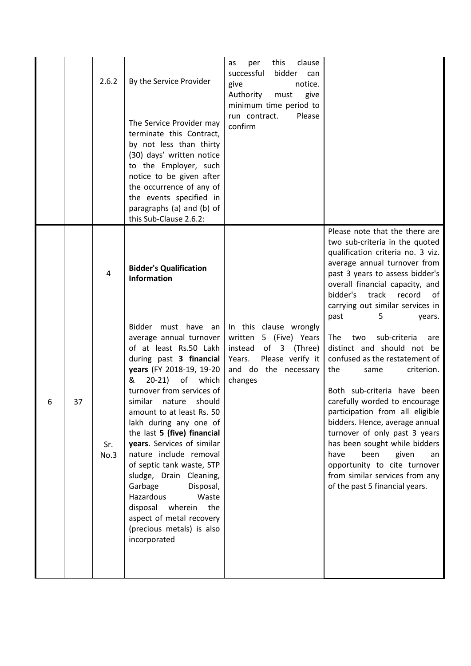|   |    | 2.6.2                         | By the Service Provider<br>The Service Provider may<br>terminate this Contract,<br>by not less than thirty<br>(30) days' written notice<br>to the Employer, such<br>notice to be given after<br>the occurrence of any of<br>the events specified in<br>paragraphs (a) and (b) of<br>this Sub-Clause 2.6.2:                                                                                                                                                                                                                                                                                                                              | this<br>clause<br>per<br>as<br>successful<br>bidder<br>can<br>notice.<br>give<br>Authority<br>must<br>give<br>minimum time period to<br>run contract.<br>Please<br>confirm |                                                                                                                                                                                                                                                                                                                                                                                                                                                                                                                                                                                                                                                                                                                                                                                         |
|---|----|-------------------------------|-----------------------------------------------------------------------------------------------------------------------------------------------------------------------------------------------------------------------------------------------------------------------------------------------------------------------------------------------------------------------------------------------------------------------------------------------------------------------------------------------------------------------------------------------------------------------------------------------------------------------------------------|----------------------------------------------------------------------------------------------------------------------------------------------------------------------------|-----------------------------------------------------------------------------------------------------------------------------------------------------------------------------------------------------------------------------------------------------------------------------------------------------------------------------------------------------------------------------------------------------------------------------------------------------------------------------------------------------------------------------------------------------------------------------------------------------------------------------------------------------------------------------------------------------------------------------------------------------------------------------------------|
| 6 | 37 | $\overline{4}$<br>Sr.<br>No.3 | <b>Bidder's Qualification</b><br><b>Information</b><br>Bidder must have an<br>average annual turnover<br>of at least Rs.50 Lakh<br>during past 3 financial<br>years (FY 2018-19, 19-20<br>$20-21)$<br>which<br>of<br>&<br>turnover from services of<br>similar nature should<br>amount to at least Rs. 50<br>lakh during any one of<br>the last 5 (five) financial<br>years. Services of similar<br>nature include removal<br>of septic tank waste, STP<br>sludge, Drain Cleaning,<br>Garbage<br>Disposal,<br>Hazardous<br>Waste<br>disposal<br>the<br>wherein<br>aspect of metal recovery<br>(precious metals) is also<br>incorporated | In this clause wrongly<br>written 5 (Five) Years<br>instead of 3 (Three)<br>Years. Please verify it<br>and do the necessary<br>changes                                     | Please note that the there are<br>two sub-criteria in the quoted<br>qualification criteria no. 3 viz.<br>average annual turnover from<br>past 3 years to assess bidder's<br>overall financial capacity, and<br>bidder's<br>track<br>record<br>of<br>carrying out similar services in<br>past<br>5<br>years.<br>sub-criteria<br>The<br>two<br>are<br>distinct and should not be<br>confused as the restatement of<br>criterion.<br>the<br>same<br>Both sub-criteria have been<br>carefully worded to encourage<br>participation from all eligible<br>bidders. Hence, average annual<br>turnover of only past 3 years<br>has been sought while bidders<br>been<br>have<br>given<br>an<br>opportunity to cite turnover<br>from similar services from any<br>of the past 5 financial years. |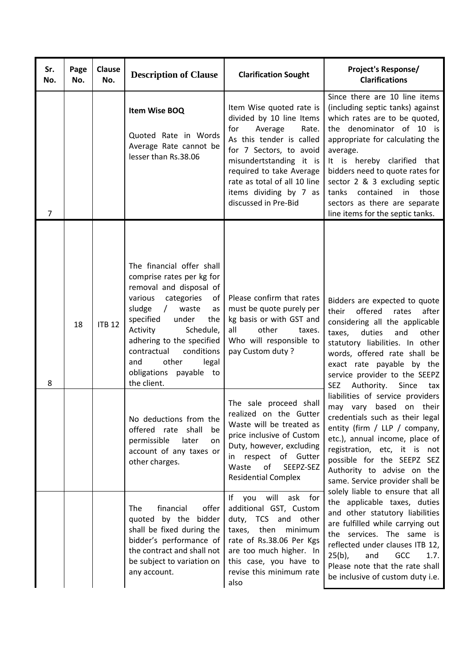| Sr.<br>No.     | Page<br>No. | Clause<br>No. | <b>Description of Clause</b>                                                                                                                                                                                                                                                                                                                 | <b>Clarification Sought</b>                                                                                                                                                                                                                                                     | <b>Project's Response/</b><br><b>Clarifications</b>                                                                                                                                                                                                                                                                                                                                                                                                                                                                                                                                                                                                                                                                                                                                                                                                                                                                                                   |
|----------------|-------------|---------------|----------------------------------------------------------------------------------------------------------------------------------------------------------------------------------------------------------------------------------------------------------------------------------------------------------------------------------------------|---------------------------------------------------------------------------------------------------------------------------------------------------------------------------------------------------------------------------------------------------------------------------------|-------------------------------------------------------------------------------------------------------------------------------------------------------------------------------------------------------------------------------------------------------------------------------------------------------------------------------------------------------------------------------------------------------------------------------------------------------------------------------------------------------------------------------------------------------------------------------------------------------------------------------------------------------------------------------------------------------------------------------------------------------------------------------------------------------------------------------------------------------------------------------------------------------------------------------------------------------|
| $\overline{7}$ |             |               | Item Wise BOQ<br>Quoted Rate in Words<br>Average Rate cannot be<br>lesser than Rs.38.06                                                                                                                                                                                                                                                      | Item Wise quoted rate is<br>divided by 10 line Items<br>for<br>Average<br>Rate.<br>As this tender is called<br>for 7 Sectors, to avoid<br>misundertstanding it is<br>required to take Average<br>rate as total of all 10 line<br>items dividing by 7 as<br>discussed in Pre-Bid | Since there are 10 line items<br>(including septic tanks) against<br>which rates are to be quoted,<br>the denominator of 10 is<br>appropriate for calculating the<br>average.<br>It is hereby clarified that<br>bidders need to quote rates for<br>sector 2 & 3 excluding septic<br>contained in those<br>tanks<br>sectors as there are separate<br>line items for the septic tanks.                                                                                                                                                                                                                                                                                                                                                                                                                                                                                                                                                                  |
| 8              | 18          | <b>ITB 12</b> | The financial offer shall<br>comprise rates per kg for<br>removal and disposal of<br>various<br>categories<br>of<br>sludge<br>waste<br>$\sqrt{2}$<br>as<br>specified<br>under<br>the<br>Activity<br>Schedule,<br>adhering to the specified<br>contractual<br>conditions<br>and<br>other<br>legal<br>payable to<br>obligations<br>the client. | Please confirm that rates<br>must be quote purely per<br>kg basis or with GST and<br>all<br>other<br>taxes.<br>Who will responsible to<br>pay Custom duty?                                                                                                                      | Bidders are expected to quote<br>offered<br>their<br>rates<br>after<br>considering all the applicable<br>other<br>taxes,<br>duties<br>and<br>statutory liabilities. In other<br>words, offered rate shall be<br>exact rate payable by the<br>service provider to the SEEPZ<br>Authority.<br>Since<br><b>SEZ</b><br>tax<br>liabilities of service providers<br>may vary based<br>their<br>on<br>credentials such as their legal<br>entity (firm / LLP / company,<br>etc.), annual income, place of<br>registration, etc, it is not<br>possible for the SEEPZ SEZ<br>Authority to advise on the<br>same. Service provider shall be<br>solely liable to ensure that all<br>the applicable taxes, duties<br>and other statutory liabilities<br>are fulfilled while carrying out<br>the services. The same is<br>reflected under clauses ITB 12,<br>$25(b)$ ,<br>GCC<br>and<br>1.7.<br>Please note that the rate shall<br>be inclusive of custom duty i.e. |
|                |             |               | No deductions from the<br>offered rate shall be<br>permissible<br>later<br>on<br>account of any taxes or<br>other charges.                                                                                                                                                                                                                   | The sale proceed shall<br>realized on the Gutter<br>Waste will be treated as<br>price inclusive of Custom<br>Duty, however, excluding<br>in respect of Gutter<br>Waste<br>of<br>SEEPZ-SEZ<br><b>Residential Complex</b>                                                         |                                                                                                                                                                                                                                                                                                                                                                                                                                                                                                                                                                                                                                                                                                                                                                                                                                                                                                                                                       |
|                |             |               | financial<br>offer<br><b>The</b><br>quoted by the bidder<br>shall be fixed during the<br>bidder's performance of<br>the contract and shall not<br>be subject to variation on<br>any account.                                                                                                                                                 | will<br>ask for<br>If you<br>additional GST, Custom<br>duty, TCS and other<br>then<br>taxes,<br>minimum<br>rate of Rs.38.06 Per Kgs<br>are too much higher. In<br>this case, you have to<br>revise this minimum rate<br>also                                                    |                                                                                                                                                                                                                                                                                                                                                                                                                                                                                                                                                                                                                                                                                                                                                                                                                                                                                                                                                       |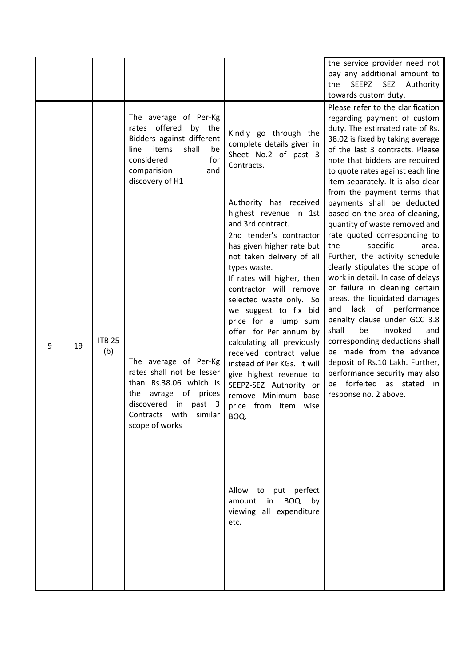|   |    |                      |                                                                                                                                                                                                                                                                                                                                                               |                                                                                                                                                                                                                                                                                                                                                                                                                                                                                                                                                                                                                                                                                                                                                          | the service provider need not<br>pay any additional amount to<br>SEEPZ<br>SEZ<br>Authority<br>the<br>towards custom duty.                                                                                                                                                                                                                                                                                                                                                                                                                                                                                                                                                                                                                                                                                                                                                                                                                                       |
|---|----|----------------------|---------------------------------------------------------------------------------------------------------------------------------------------------------------------------------------------------------------------------------------------------------------------------------------------------------------------------------------------------------------|----------------------------------------------------------------------------------------------------------------------------------------------------------------------------------------------------------------------------------------------------------------------------------------------------------------------------------------------------------------------------------------------------------------------------------------------------------------------------------------------------------------------------------------------------------------------------------------------------------------------------------------------------------------------------------------------------------------------------------------------------------|-----------------------------------------------------------------------------------------------------------------------------------------------------------------------------------------------------------------------------------------------------------------------------------------------------------------------------------------------------------------------------------------------------------------------------------------------------------------------------------------------------------------------------------------------------------------------------------------------------------------------------------------------------------------------------------------------------------------------------------------------------------------------------------------------------------------------------------------------------------------------------------------------------------------------------------------------------------------|
| 9 | 19 | <b>ITB 25</b><br>(b) | The average of Per-Kg<br>rates offered<br>by the<br>Bidders against different<br>shall<br>items<br>line<br>be<br>for<br>considered<br>comparision<br>and<br>discovery of H1<br>The average of Per-Kg<br>rates shall not be lesser<br>than Rs.38.06 which is<br>avrage of prices<br>the<br>discovered in past 3<br>Contracts with<br>similar<br>scope of works | Kindly go through the<br>complete details given in<br>Sheet No.2 of past 3<br>Contracts.<br>Authority has received<br>highest revenue in 1st<br>and 3rd contract.<br>2nd tender's contractor<br>has given higher rate but<br>not taken delivery of all<br>types waste.<br>If rates will higher, then<br>contractor will remove<br>selected waste only. So<br>we suggest to fix bid<br>price for a lump sum<br>offer for Per annum by<br>calculating all previously<br>received contract value<br>instead of Per KGs. It will<br>give highest revenue to<br>SEEPZ-SEZ Authority or<br>remove Minimum base<br>price from<br>wise<br>Item<br>BOQ.<br>Allow to put perfect<br><b>BOQ</b><br>amount<br>$\mathsf{in}$<br>by<br>viewing all expenditure<br>etc. | Please refer to the clarification<br>regarding payment of custom<br>duty. The estimated rate of Rs.<br>38.02 is fixed by taking average<br>of the last 3 contracts. Please<br>note that bidders are required<br>to quote rates against each line<br>item separately. It is also clear<br>from the payment terms that<br>payments shall be deducted<br>based on the area of cleaning,<br>quantity of waste removed and<br>rate quoted corresponding to<br>specific<br>the<br>area.<br>Further, the activity schedule<br>clearly stipulates the scope of<br>work in detail. In case of delays<br>or failure in cleaning certain<br>areas, the liquidated damages<br>lack<br>of performance<br>and<br>penalty clause under GCC 3.8<br>invoked<br>shall<br>be<br>and<br>corresponding deductions shall<br>be made from the advance<br>deposit of Rs.10 Lakh. Further,<br>performance security may also<br>forfeited as stated<br>be<br>in.<br>response no. 2 above. |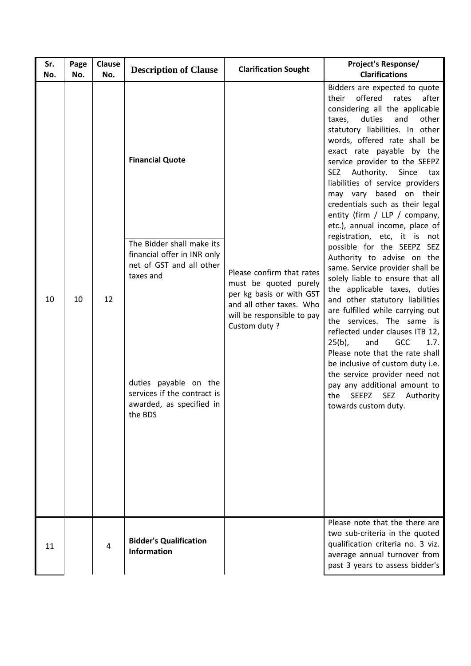| Sr.<br>No. | Page<br>No. | Clause<br>No. | <b>Description of Clause</b>                                                                                                                                                                                               | <b>Clarification Sought</b>                                                                                                                              | <b>Project's Response/</b><br><b>Clarifications</b>                                                                                                                                                                                                                                                                                                                                                                                                                                                                                                                                                                                                                                                                                                                                                                                                                                                                                                                                                                                                                                       |
|------------|-------------|---------------|----------------------------------------------------------------------------------------------------------------------------------------------------------------------------------------------------------------------------|----------------------------------------------------------------------------------------------------------------------------------------------------------|-------------------------------------------------------------------------------------------------------------------------------------------------------------------------------------------------------------------------------------------------------------------------------------------------------------------------------------------------------------------------------------------------------------------------------------------------------------------------------------------------------------------------------------------------------------------------------------------------------------------------------------------------------------------------------------------------------------------------------------------------------------------------------------------------------------------------------------------------------------------------------------------------------------------------------------------------------------------------------------------------------------------------------------------------------------------------------------------|
| 10         | 10          | 12            | <b>Financial Quote</b><br>The Bidder shall make its<br>financial offer in INR only<br>net of GST and all other<br>taxes and<br>duties payable on the<br>services if the contract is<br>awarded, as specified in<br>the BDS | Please confirm that rates<br>must be quoted purely<br>per kg basis or with GST<br>and all other taxes. Who<br>will be responsible to pay<br>Custom duty? | Bidders are expected to quote<br>offered<br>rates<br>after<br>their<br>considering all the applicable<br>duties<br>and<br>other<br>taxes,<br>statutory liabilities. In other<br>words, offered rate shall be<br>exact rate payable by the<br>service provider to the SEEPZ<br>Authority.<br><b>SEZ</b><br>Since<br>tax<br>liabilities of service providers<br>may vary based<br>their<br>on<br>credentials such as their legal<br>entity (firm / LLP / company,<br>etc.), annual income, place of<br>registration, etc, it is not<br>possible for the SEEPZ SEZ<br>Authority to advise on the<br>same. Service provider shall be<br>solely liable to ensure that all<br>the applicable taxes, duties<br>and other statutory liabilities<br>are fulfilled while carrying out<br>the services. The same is<br>reflected under clauses ITB 12,<br>GCC<br>$25(b)$ ,<br>1.7.<br>and<br>Please note that the rate shall<br>be inclusive of custom duty i.e.<br>the service provider need not<br>pay any additional amount to<br>SEEPZ<br><b>SEZ</b><br>Authority<br>the<br>towards custom duty. |
| 11         |             | 4             | <b>Bidder's Qualification</b><br><b>Information</b>                                                                                                                                                                        |                                                                                                                                                          | Please note that the there are<br>two sub-criteria in the quoted<br>qualification criteria no. 3 viz.<br>average annual turnover from<br>past 3 years to assess bidder's                                                                                                                                                                                                                                                                                                                                                                                                                                                                                                                                                                                                                                                                                                                                                                                                                                                                                                                  |